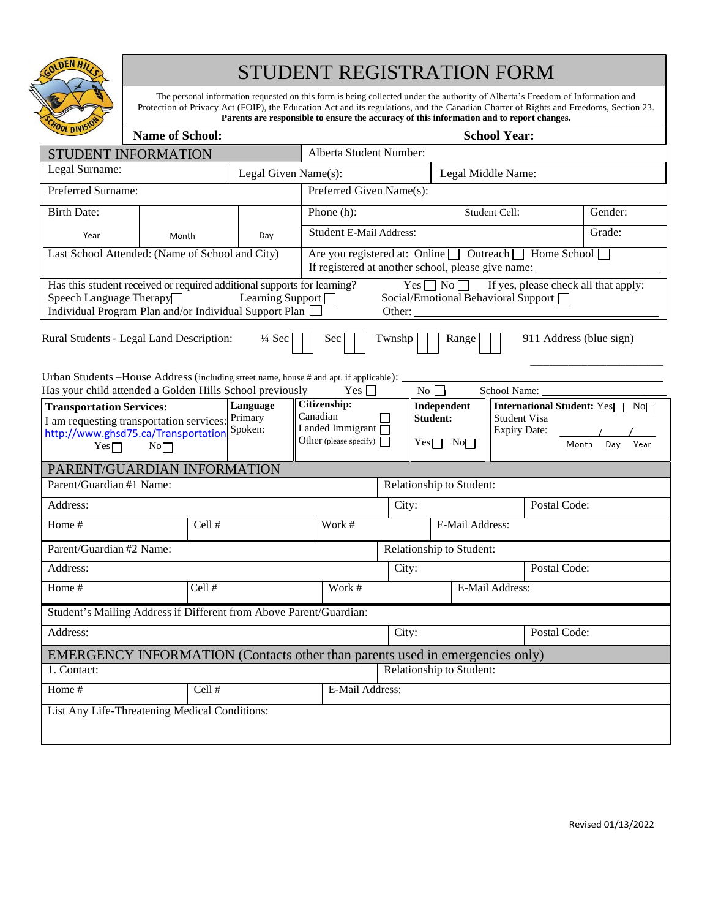

# STUDENT REGISTRATION FORM

The personal information requested on this form is being collected under the authority of Alberta's Freedom of Information and Protection of Privacy Act (FOIP), the Education Act and its regulations, and the Canadian Charter of Rights and Freedoms, Section 23. **Parents are responsible to ensure the accuracy of this information and to report changes.**

| <b>POL DIVIST</b>                                                                                                                                                                                | <b>Name of School:</b>   |                          |                      | <b>School Year:</b>                                                                                                                                                                                                                               |                           |              |                                                                                                                |  |              |         |  |  |
|--------------------------------------------------------------------------------------------------------------------------------------------------------------------------------------------------|--------------------------|--------------------------|----------------------|---------------------------------------------------------------------------------------------------------------------------------------------------------------------------------------------------------------------------------------------------|---------------------------|--------------|----------------------------------------------------------------------------------------------------------------|--|--------------|---------|--|--|
| STUDENT INFORMATION                                                                                                                                                                              |                          |                          |                      | Alberta Student Number:                                                                                                                                                                                                                           |                           |              |                                                                                                                |  |              |         |  |  |
| Legal Surname:                                                                                                                                                                                   |                          |                          | Legal Given Name(s): | Legal Middle Name:                                                                                                                                                                                                                                |                           |              |                                                                                                                |  |              |         |  |  |
| Preferred Surname:                                                                                                                                                                               |                          |                          |                      | Preferred Given Name(s):                                                                                                                                                                                                                          |                           |              |                                                                                                                |  |              |         |  |  |
| <b>Birth Date:</b>                                                                                                                                                                               |                          |                          |                      | Phone (h):                                                                                                                                                                                                                                        |                           |              | Student Cell:                                                                                                  |  |              | Gender: |  |  |
| Year                                                                                                                                                                                             | Month                    |                          | Day                  | Student E-Mail Address:                                                                                                                                                                                                                           |                           |              |                                                                                                                |  |              | Grade:  |  |  |
| Last School Attended: (Name of School and City)                                                                                                                                                  |                          |                          |                      | Are you registered at: Online   Outreach   Home School<br>If registered at another school, please give name: _____________________________                                                                                                        |                           |              |                                                                                                                |  |              |         |  |  |
| Has this student received or required additional supports for learning?<br>Speech Language Therapy $\Box$<br>Learning Support $\Box$<br>Individual Program Plan and/or Individual Support Plan [ |                          |                          |                      |                                                                                                                                                                                                                                                   |                           |              | $Yes \frown No \frown$ If yes, please check all that apply:<br>Social/Emotional Behavioral Support □<br>Other: |  |              |         |  |  |
| Rural Students - Legal Land Description:<br>$\frac{1}{4}$ Sec<br>Sec<br>Range<br>911 Address (blue sign)<br>Twnshp                                                                               |                          |                          |                      |                                                                                                                                                                                                                                                   |                           |              |                                                                                                                |  |              |         |  |  |
| Urban Students-House Address (including street name, house # and apt. if applicable):<br>No $\Box$<br>Has your child attended a Golden Hills School previously<br>Yes $\Box$                     |                          |                          |                      |                                                                                                                                                                                                                                                   |                           |              |                                                                                                                |  |              |         |  |  |
| Language<br><b>Transportation Services:</b><br>Primary<br>I am requesting transportation services:<br>Spoken:<br>http://www.ghsd75.ca/Transportation<br>$Yes \square$<br>No                      |                          |                          |                      | <b>Citizenship:</b><br>International Student: Yes□ No□<br>Independent<br>Canadian<br><b>Student:</b><br><b>Student Visa</b><br>Landed Immigrant $\overline{\Box}$<br><b>Expiry Date:</b><br>Other (please specify)<br>$Yes \Box No \Box$<br>Month |                           |              | Day<br>Year                                                                                                    |  |              |         |  |  |
| PARENT/GUARDIAN INFORMATION                                                                                                                                                                      |                          |                          |                      |                                                                                                                                                                                                                                                   |                           |              |                                                                                                                |  |              |         |  |  |
| Parent/Guardian #1 Name:                                                                                                                                                                         |                          | Relationship to Student: |                      |                                                                                                                                                                                                                                                   |                           |              |                                                                                                                |  |              |         |  |  |
| Address:                                                                                                                                                                                         |                          |                          |                      | City:                                                                                                                                                                                                                                             |                           |              | Postal Code:                                                                                                   |  |              |         |  |  |
| Home #                                                                                                                                                                                           |                          | Cell #                   |                      |                                                                                                                                                                                                                                                   | E-Mail Address:           |              |                                                                                                                |  |              |         |  |  |
| Parent/Guardian #2 Name:                                                                                                                                                                         | Relationship to Student: |                          |                      |                                                                                                                                                                                                                                                   |                           |              |                                                                                                                |  |              |         |  |  |
| Address:                                                                                                                                                                                         |                          |                          |                      | City:                                                                                                                                                                                                                                             |                           |              |                                                                                                                |  | Postal Code: |         |  |  |
| Home #                                                                                                                                                                                           |                          | Cell#                    |                      |                                                                                                                                                                                                                                                   | Work #<br>E-Mail Address: |              |                                                                                                                |  |              |         |  |  |
| Student's Mailing Address if Different from Above Parent/Guardian:                                                                                                                               |                          |                          |                      |                                                                                                                                                                                                                                                   |                           |              |                                                                                                                |  |              |         |  |  |
| Address:                                                                                                                                                                                         | City:                    |                          |                      |                                                                                                                                                                                                                                                   |                           | Postal Code: |                                                                                                                |  |              |         |  |  |
| EMERGENCY INFORMATION (Contacts other than parents used in emergencies only)                                                                                                                     |                          |                          |                      |                                                                                                                                                                                                                                                   |                           |              |                                                                                                                |  |              |         |  |  |
| 1. Contact:                                                                                                                                                                                      |                          |                          |                      | Relationship to Student:                                                                                                                                                                                                                          |                           |              |                                                                                                                |  |              |         |  |  |
| Home #                                                                                                                                                                                           | Cell #                   |                          |                      | E-Mail Address:                                                                                                                                                                                                                                   |                           |              |                                                                                                                |  |              |         |  |  |
| List Any Life-Threatening Medical Conditions:                                                                                                                                                    |                          |                          |                      |                                                                                                                                                                                                                                                   |                           |              |                                                                                                                |  |              |         |  |  |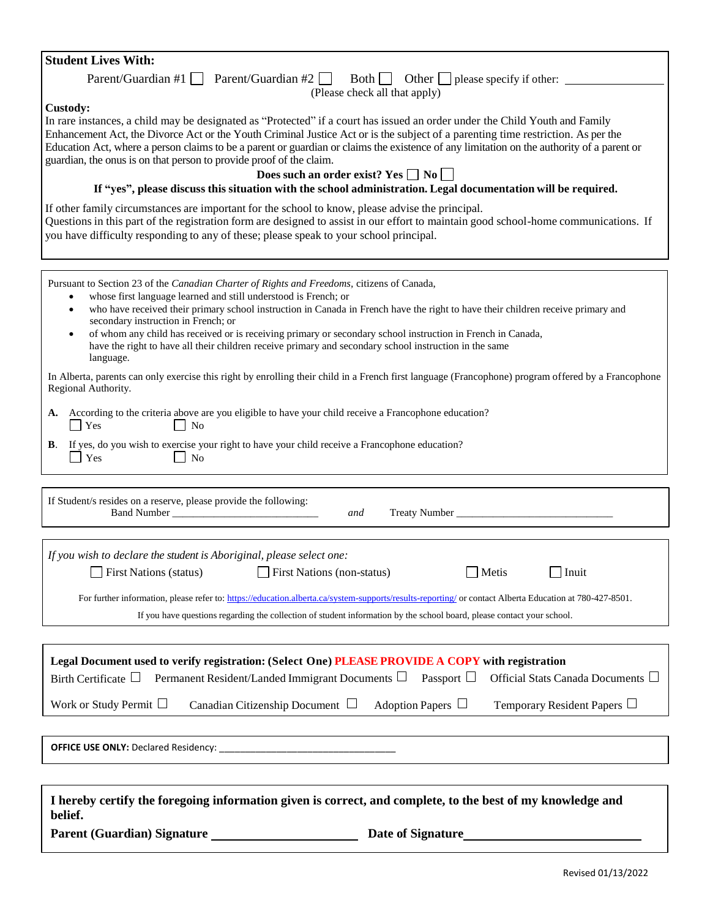| <b>Student Lives With:</b>                                                                                                                                                                                                                                                                                                                                                                                                                                                                                                                                                                                                                                                                                                                                                                                                                                                                                                                                                                               |  |  |  |  |  |  |  |
|----------------------------------------------------------------------------------------------------------------------------------------------------------------------------------------------------------------------------------------------------------------------------------------------------------------------------------------------------------------------------------------------------------------------------------------------------------------------------------------------------------------------------------------------------------------------------------------------------------------------------------------------------------------------------------------------------------------------------------------------------------------------------------------------------------------------------------------------------------------------------------------------------------------------------------------------------------------------------------------------------------|--|--|--|--|--|--|--|
| $Parent/Guardian #1$ Parent/Guardian #2<br>$Both \fbox{ } Other \fbox{ } please specify if other: \fbox{ }$                                                                                                                                                                                                                                                                                                                                                                                                                                                                                                                                                                                                                                                                                                                                                                                                                                                                                              |  |  |  |  |  |  |  |
| (Please check all that apply)                                                                                                                                                                                                                                                                                                                                                                                                                                                                                                                                                                                                                                                                                                                                                                                                                                                                                                                                                                            |  |  |  |  |  |  |  |
| Custody:<br>In rare instances, a child may be designated as "Protected" if a court has issued an order under the Child Youth and Family<br>Enhancement Act, the Divorce Act or the Youth Criminal Justice Act or is the subject of a parenting time restriction. As per the<br>Education Act, where a person claims to be a parent or guardian or claims the existence of any limitation on the authority of a parent or<br>guardian, the onus is on that person to provide proof of the claim.<br>Does such an order exist? Yes $\Box$ No $\Box$<br>If "yes", please discuss this situation with the school administration. Legal documentation will be required.<br>If other family circumstances are important for the school to know, please advise the principal.<br>Questions in this part of the registration form are designed to assist in our effort to maintain good school-home communications. If<br>you have difficulty responding to any of these; please speak to your school principal. |  |  |  |  |  |  |  |
|                                                                                                                                                                                                                                                                                                                                                                                                                                                                                                                                                                                                                                                                                                                                                                                                                                                                                                                                                                                                          |  |  |  |  |  |  |  |
| Pursuant to Section 23 of the Canadian Charter of Rights and Freedoms, citizens of Canada,<br>whose first language learned and still understood is French; or<br>$\bullet$<br>who have received their primary school instruction in Canada in French have the right to have their children receive primary and<br>$\bullet$<br>secondary instruction in French; or<br>of whom any child has received or is receiving primary or secondary school instruction in French in Canada,<br>$\bullet$<br>have the right to have all their children receive primary and secondary school instruction in the same                                                                                                                                                                                                                                                                                                                                                                                                 |  |  |  |  |  |  |  |
| language.                                                                                                                                                                                                                                                                                                                                                                                                                                                                                                                                                                                                                                                                                                                                                                                                                                                                                                                                                                                                |  |  |  |  |  |  |  |
| In Alberta, parents can only exercise this right by enrolling their child in a French first language (Francophone) program offered by a Francophone<br>Regional Authority.                                                                                                                                                                                                                                                                                                                                                                                                                                                                                                                                                                                                                                                                                                                                                                                                                               |  |  |  |  |  |  |  |
| According to the criteria above are you eligible to have your child receive a Francophone education?<br>А.<br>$\blacksquare$ Yes<br>N <sub>o</sub>                                                                                                                                                                                                                                                                                                                                                                                                                                                                                                                                                                                                                                                                                                                                                                                                                                                       |  |  |  |  |  |  |  |
| If yes, do you wish to exercise your right to have your child receive a Francophone education?<br>В.<br>Yes<br><b>No</b>                                                                                                                                                                                                                                                                                                                                                                                                                                                                                                                                                                                                                                                                                                                                                                                                                                                                                 |  |  |  |  |  |  |  |
|                                                                                                                                                                                                                                                                                                                                                                                                                                                                                                                                                                                                                                                                                                                                                                                                                                                                                                                                                                                                          |  |  |  |  |  |  |  |
| If Student/s resides on a reserve, please provide the following:<br>Band Number <b>Exercísion</b> Service <b>Band Number</b><br>Treaty Number<br>and                                                                                                                                                                                                                                                                                                                                                                                                                                                                                                                                                                                                                                                                                                                                                                                                                                                     |  |  |  |  |  |  |  |
|                                                                                                                                                                                                                                                                                                                                                                                                                                                                                                                                                                                                                                                                                                                                                                                                                                                                                                                                                                                                          |  |  |  |  |  |  |  |
| If you wish to declare the student is Aboriginal, please select one:<br>First Nations (non-status)<br><b>First Nations (status)</b>                                                                                                                                                                                                                                                                                                                                                                                                                                                                                                                                                                                                                                                                                                                                                                                                                                                                      |  |  |  |  |  |  |  |
| Metis<br>l Inuit                                                                                                                                                                                                                                                                                                                                                                                                                                                                                                                                                                                                                                                                                                                                                                                                                                                                                                                                                                                         |  |  |  |  |  |  |  |
| For further information, please refer to: https://education.alberta.ca/system-supports/results-reporting/ or contact Alberta Education at 780-427-8501.<br>If you have questions regarding the collection of student information by the school board, please contact your school.                                                                                                                                                                                                                                                                                                                                                                                                                                                                                                                                                                                                                                                                                                                        |  |  |  |  |  |  |  |
|                                                                                                                                                                                                                                                                                                                                                                                                                                                                                                                                                                                                                                                                                                                                                                                                                                                                                                                                                                                                          |  |  |  |  |  |  |  |
| Legal Document used to verify registration: (Select One) PLEASE PROVIDE A COPY with registration<br>Birth Certificate $\Box$ Permanent Resident/Landed Immigrant Documents $\Box$<br>Passport $\Box$<br>Official Stats Canada Documents $\Box$                                                                                                                                                                                                                                                                                                                                                                                                                                                                                                                                                                                                                                                                                                                                                           |  |  |  |  |  |  |  |
| Work or Study Permit $\Box$<br>Canadian Citizenship Document $\Box$<br>Adoption Papers $\Box$<br>Temporary Resident Papers □                                                                                                                                                                                                                                                                                                                                                                                                                                                                                                                                                                                                                                                                                                                                                                                                                                                                             |  |  |  |  |  |  |  |
|                                                                                                                                                                                                                                                                                                                                                                                                                                                                                                                                                                                                                                                                                                                                                                                                                                                                                                                                                                                                          |  |  |  |  |  |  |  |
|                                                                                                                                                                                                                                                                                                                                                                                                                                                                                                                                                                                                                                                                                                                                                                                                                                                                                                                                                                                                          |  |  |  |  |  |  |  |
|                                                                                                                                                                                                                                                                                                                                                                                                                                                                                                                                                                                                                                                                                                                                                                                                                                                                                                                                                                                                          |  |  |  |  |  |  |  |
| I hereby certify the foregoing information given is correct, and complete, to the best of my knowledge and<br>belief.                                                                                                                                                                                                                                                                                                                                                                                                                                                                                                                                                                                                                                                                                                                                                                                                                                                                                    |  |  |  |  |  |  |  |
| Parent (Guardian) Signature<br>Date of Signature                                                                                                                                                                                                                                                                                                                                                                                                                                                                                                                                                                                                                                                                                                                                                                                                                                                                                                                                                         |  |  |  |  |  |  |  |
|                                                                                                                                                                                                                                                                                                                                                                                                                                                                                                                                                                                                                                                                                                                                                                                                                                                                                                                                                                                                          |  |  |  |  |  |  |  |
| Revised 01/13/2022                                                                                                                                                                                                                                                                                                                                                                                                                                                                                                                                                                                                                                                                                                                                                                                                                                                                                                                                                                                       |  |  |  |  |  |  |  |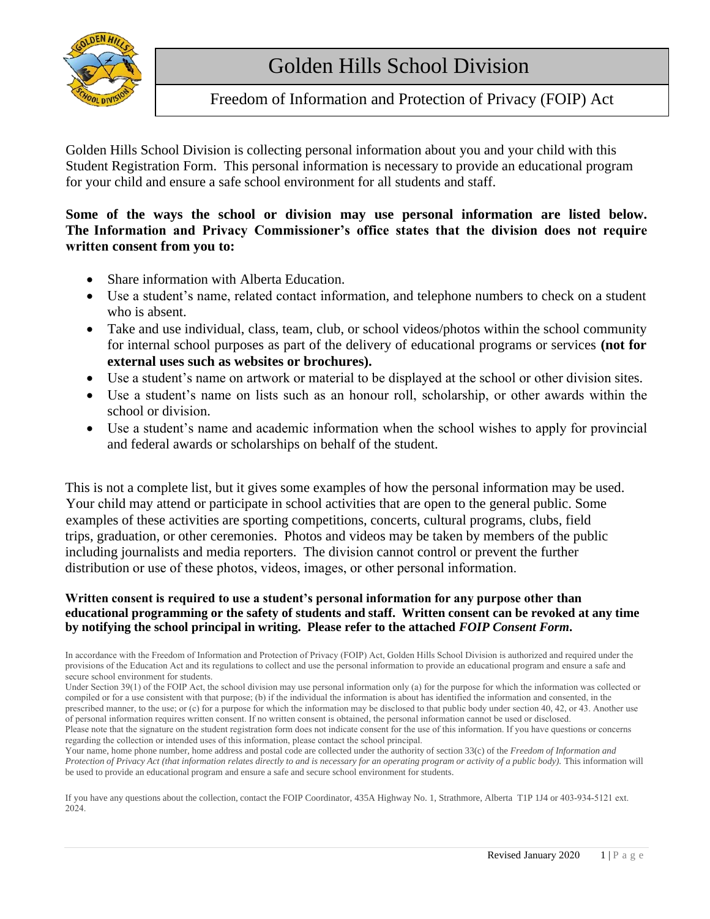

# Freedom of Information and Protection of Privacy (FOIP) Act

Golden Hills School Division is collecting personal information about you and your child with this Student Registration Form. This personal information is necessary to provide an educational program for your child and ensure a safe school environment for all students and staff.

### **Some of the ways the school or division may use personal information are listed below. The Information and Privacy Commissioner's office states that the division does not require written consent from you to:**

- Share information with Alberta Education.
- Use a student's name, related contact information, and telephone numbers to check on a student who is absent.
- Take and use individual, class, team, club, or school videos/photos within the school community for internal school purposes as part of the delivery of educational programs or services **(not for external uses such as websites or brochures).**
- Use a student's name on artwork or material to be displayed at the school or other division sites.
- Use a student's name on lists such as an honour roll, scholarship, or other awards within the school or division.
- Use a student's name and academic information when the school wishes to apply for provincial and federal awards or scholarships on behalf of the student.

This is not a complete list, but it gives some examples of how the personal information may be used. Your child may attend or participate in school activities that are open to the general public. Some examples of these activities are sporting competitions, concerts, cultural programs, clubs, field trips, graduation, or other ceremonies. Photos and videos may be taken by members of the public including journalists and media reporters. The division cannot control or prevent the further distribution or use of these photos, videos, images, or other personal information.

#### **Written consent is required to use a student's personal information for any purpose other than educational programming or the safety of students and staff. Written consent can be revoked at any time by notifying the school principal in writing. Please refer to the attached** *FOIP Consent Form***.**

In accordance with the Freedom of Information and Protection of Privacy (FOIP) Act, Golden Hills School Division is authorized and required under the provisions of the Education Act and its regulations to collect and use the personal information to provide an educational program and ensure a safe and secure school environment for students.

If you have any questions about the collection, contact the FOIP Coordinator, 435A Highway No. 1, Strathmore, Alberta T1P 1J4 or 403-934-5121 ext. 2024.

Under Section 39(1) of the FOIP Act, the school division may use personal information only (a) for the purpose for which the information was collected or compiled or for a use consistent with that purpose; (b) if the individual the information is about has identified the information and consented, in the prescribed manner, to the use; or (c) for a purpose for which the information may be disclosed to that public body under section 40, 42, or 43. Another use of personal information requires written consent. If no written consent is obtained, the personal information cannot be used or disclosed.

Please note that the signature on the student registration form does not indicate consent for the use of this information. If you have questions or concerns regarding the collection or intended uses of this information, please contact the school principal.

Your name, home phone number, home address and postal code are collected under the authority of section 33(c) of the *Freedom of Information and Protection of Privacy Act (that information relates directly to and is necessary for an operating program or activity of a public body). This information will* be used to provide an educational program and ensure a safe and secure school environment for students.